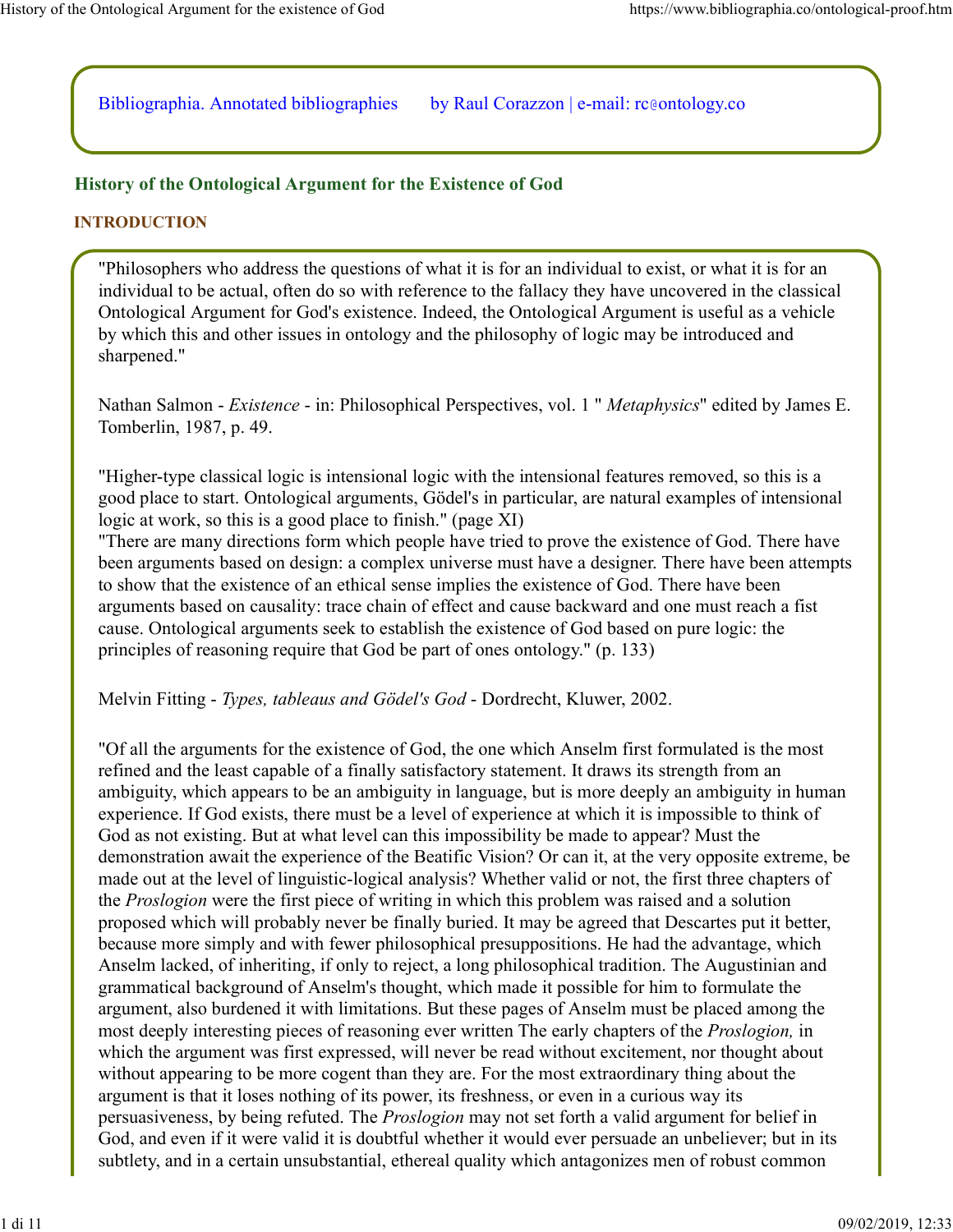Bibliographia. Annotated bibliographies by Raul Corazzon | e-mail: rc@ontology.co History of the Ontological Argument for the existence of God<br>https://www.bibliographia.co/ontological-proof.htm<br>Bibliographia. Annotated bibliographies by Raul Corazzon | e-mail: rc@ontology.co

# History of the Ontological Argument for the Existence of God

## INTRODUCTION

"Philosophers who address the questions of what it is for an individual to exist, or what it is for an individual to be actual, often do so with reference to the fallacy they have uncovered in the classical Ontological Argument for God's existence. Indeed, the Ontological Argument is useful as a vehicle by which this and other issues in ontology and the philosophy of logic may be introduced and sharpened."

Nathan Salmon - Existence - in: Philosophical Perspectives, vol. 1 " Metaphysics" edited by James E. Tomberlin, 1987, p. 49.

"Higher-type classical logic is intensional logic with the intensional features removed, so this is a good place to start. Ontological arguments, Gödel's in particular, are natural examples of intensional logic at work, so this is a good place to finish." (page XI)

"There are many directions form which people have tried to prove the existence of God. There have been arguments based on design: a complex universe must have a designer. There have been attempts to show that the existence of an ethical sense implies the existence of God. There have been arguments based on causality: trace chain of effect and cause backward and one must reach a fist cause. Ontological arguments seek to establish the existence of God based on pure logic: the principles of reasoning require that God be part of ones ontology." (p. 133)

Melvin Fitting - Types, tableaus and Gödel's God - Dordrecht, Kluwer, 2002.

"Of all the arguments for the existence of God, the one which Anselm first formulated is the most refined and the least capable of a finally satisfactory statement. It draws its strength from an ambiguity, which appears to be an ambiguity in language, but is more deeply an ambiguity in human experience. If God exists, there must be a level of experience at which it is impossible to think of God as not existing. But at what level can this impossibility be made to appear? Must the demonstration await the experience of the Beatific Vision? Or can it, at the very opposite extreme, be made out at the level of linguistic-logical analysis? Whether valid or not, the first three chapters of the Proslogion were the first piece of writing in which this problem was raised and a solution proposed which will probably never be finally buried. It may be agreed that Descartes put it better, because more simply and with fewer philosophical presuppositions. He had the advantage, which Anselm lacked, of inheriting, if only to reject, a long philosophical tradition. The Augustinian and grammatical background of Anselm's thought, which made it possible for him to formulate the argument, also burdened it with limitations. But these pages of Anselm must be placed among the most deeply interesting pieces of reasoning ever written The early chapters of the *Proslogion*, in which the argument was first expressed, will never be read without excitement, nor thought about without appearing to be more cogent than they are. For the most extraordinary thing about the argument is that it loses nothing of its power, its freshness, or even in a curious way its persuasiveness, by being refuted. The Proslogion may not set forth a valid argument for belief in God, and even if it were valid it is doubtful whether it would ever persuade an unbeliever; but in its subtlety, and in a certain unsubstantial, ethereal quality which antagonizes men of robust common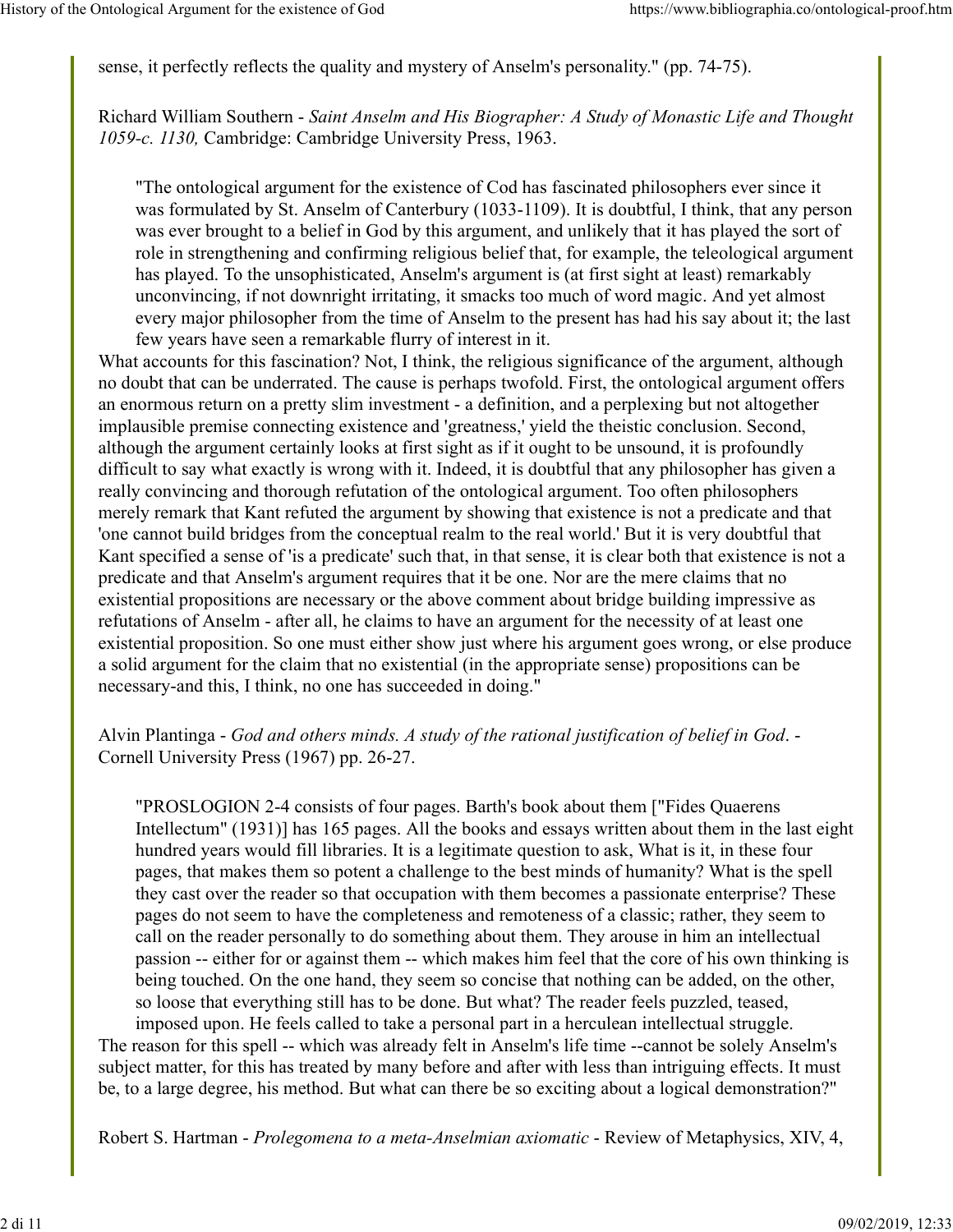sense, it perfectly reflects the quality and mystery of Anselm's personality." (pp. 74-75). History of the Ontological Argument for the existence of God https://www.bibliographia.co/ontological-proof.htm<br>
sense, it perfectly reflects the quality and mystery of Anselm's personality." (pp. 74-75).

Richard William Southern - Saint Anselm and His Biographer: A Study of Monastic Life and Thought 1059-c. 1130, Cambridge: Cambridge University Press, 1963.

"The ontological argument for the existence of Cod has fascinated philosophers ever since it was formulated by St. Anselm of Canterbury (1033-1109). It is doubtful, I think, that any person was ever brought to a belief in God by this argument, and unlikely that it has played the sort of role in strengthening and confirming religious belief that, for example, the teleological argument has played. To the unsophisticated, Anselm's argument is (at first sight at least) remarkably unconvincing, if not downright irritating, it smacks too much of word magic. And yet almost every major philosopher from the time of Anselm to the present has had his say about it; the last few years have seen a remarkable flurry of interest in it.

What accounts for this fascination? Not, I think, the religious significance of the argument, although no doubt that can be underrated. The cause is perhaps twofold. First, the ontological argument offers an enormous return on a pretty slim investment - a definition, and a perplexing but not altogether implausible premise connecting existence and 'greatness,' yield the theistic conclusion. Second, although the argument certainly looks at first sight as if it ought to be unsound, it is profoundly difficult to say what exactly is wrong with it. Indeed, it is doubtful that any philosopher has given a really convincing and thorough refutation of the ontological argument. Too often philosophers merely remark that Kant refuted the argument by showing that existence is not a predicate and that 'one cannot build bridges from the conceptual realm to the real world.' But it is very doubtful that Kant specified a sense of 'is a predicate' such that, in that sense, it is clear both that existence is not a predicate and that Anselm's argument requires that it be one. Nor are the mere claims that no existential propositions are necessary or the above comment about bridge building impressive as refutations of Anselm - after all, he claims to have an argument for the necessity of at least one existential proposition. So one must either show just where his argument goes wrong, or else produce a solid argument for the claim that no existential (in the appropriate sense) propositions can be necessary-and this, I think, no one has succeeded in doing."

Alvin Plantinga - God and others minds. A study of the rational justification of belief in God. - Cornell University Press (1967) pp. 26-27.

"PROSLOGION 2-4 consists of four pages. Barth's book about them ["Fides Quaerens Intellectum" (1931)] has 165 pages. All the books and essays written about them in the last eight hundred years would fill libraries. It is a legitimate question to ask, What is it, in these four pages, that makes them so potent a challenge to the best minds of humanity? What is the spell they cast over the reader so that occupation with them becomes a passionate enterprise? These pages do not seem to have the completeness and remoteness of a classic; rather, they seem to call on the reader personally to do something about them. They arouse in him an intellectual passion -- either for or against them -- which makes him feel that the core of his own thinking is being touched. On the one hand, they seem so concise that nothing can be added, on the other, so loose that everything still has to be done. But what? The reader feels puzzled, teased, imposed upon. He feels called to take a personal part in a herculean intellectual struggle.

The reason for this spell -- which was already felt in Anselm's life time --cannot be solely Anselm's subject matter, for this has treated by many before and after with less than intriguing effects. It must be, to a large degree, his method. But what can there be so exciting about a logical demonstration?"

Robert S. Hartman - Prolegomena to a meta-Anselmian axiomatic - Review of Metaphysics, XIV, 4,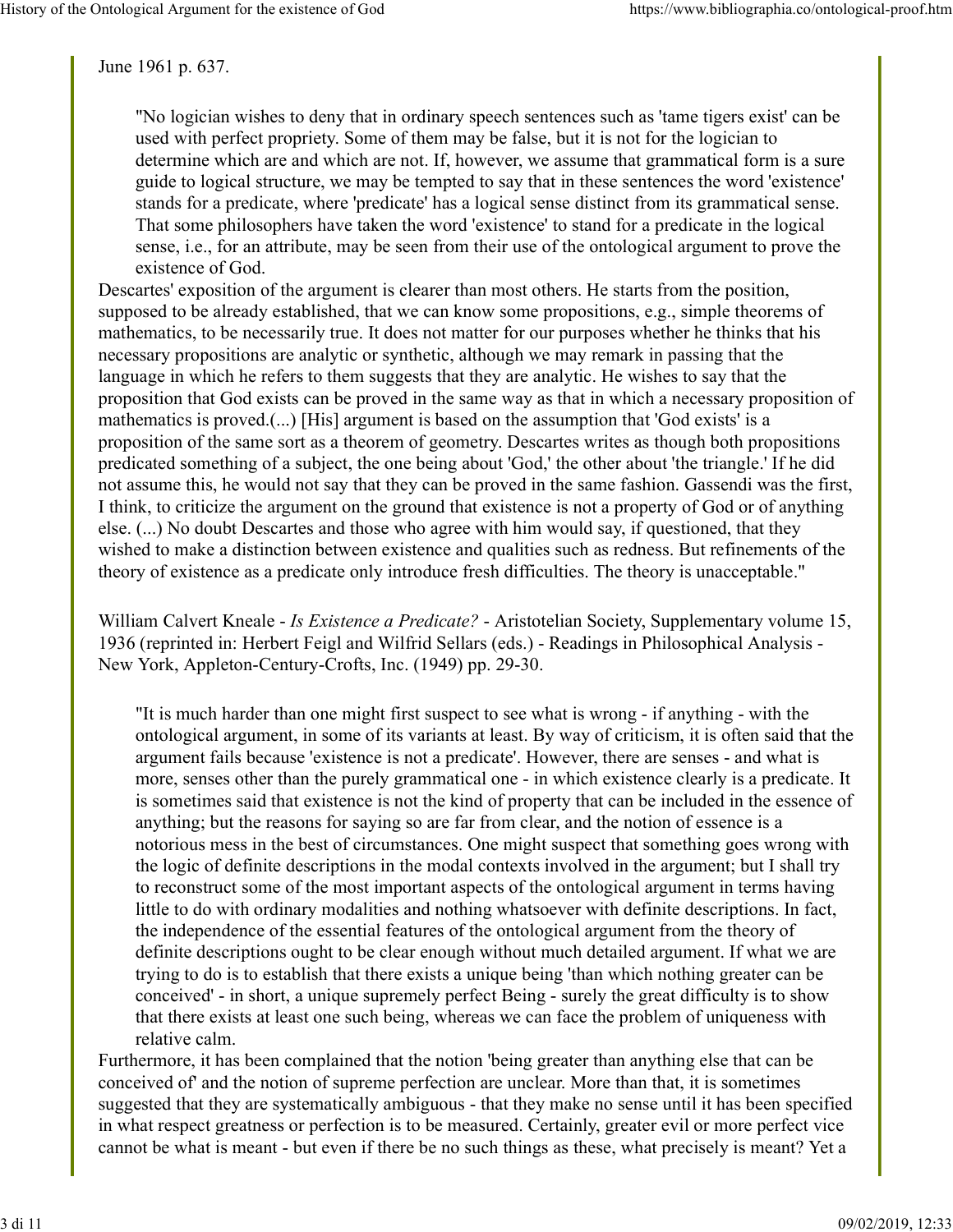June 1961 p. 637.

"No logician wishes to deny that in ordinary speech sentences such as 'tame tigers exist' can be used with perfect propriety. Some of them may be false, but it is not for the logician to determine which are and which are not. If, however, we assume that grammatical form is a sure guide to logical structure, we may be tempted to say that in these sentences the word 'existence' stands for a predicate, where 'predicate' has a logical sense distinct from its grammatical sense. That some philosophers have taken the word 'existence' to stand for a predicate in the logical sense, i.e., for an attribute, may be seen from their use of the ontological argument to prove the existence of God.

Descartes' exposition of the argument is clearer than most others. He starts from the position, supposed to be already established, that we can know some propositions, e.g., simple theorems of mathematics, to be necessarily true. It does not matter for our purposes whether he thinks that his necessary propositions are analytic or synthetic, although we may remark in passing that the language in which he refers to them suggests that they are analytic. He wishes to say that the proposition that God exists can be proved in the same way as that in which a necessary proposition of mathematics is proved.(...) [His] argument is based on the assumption that 'God exists' is a proposition of the same sort as a theorem of geometry. Descartes writes as though both propositions predicated something of a subject, the one being about 'God,' the other about 'the triangle.' If he did not assume this, he would not say that they can be proved in the same fashion. Gassendi was the first, I think, to criticize the argument on the ground that existence is not a property of God or of anything else. (...) No doubt Descartes and those who agree with him would say, if questioned, that they wished to make a distinction between existence and qualities such as redness. But refinements of the theory of existence as a predicate only introduce fresh difficulties. The theory is unacceptable."

William Calvert Kneale - Is Existence a Predicate? - Aristotelian Society, Supplementary volume 15, 1936 (reprinted in: Herbert Feigl and Wilfrid Sellars (eds.) - Readings in Philosophical Analysis - New York, Appleton-Century-Crofts, Inc. (1949) pp. 29-30.

"It is much harder than one might first suspect to see what is wrong - if anything - with the ontological argument, in some of its variants at least. By way of criticism, it is often said that the argument fails because 'existence is not a predicate'. However, there are senses - and what is more, senses other than the purely grammatical one - in which existence clearly is a predicate. It is sometimes said that existence is not the kind of property that can be included in the essence of anything; but the reasons for saying so are far from clear, and the notion of essence is a notorious mess in the best of circumstances. One might suspect that something goes wrong with the logic of definite descriptions in the modal contexts involved in the argument; but I shall try to reconstruct some of the most important aspects of the ontological argument in terms having little to do with ordinary modalities and nothing whatsoever with definite descriptions. In fact, the independence of the essential features of the ontological argument from the theory of definite descriptions ought to be clear enough without much detailed argument. If what we are trying to do is to establish that there exists a unique being 'than which nothing greater can be conceived' - in short, a unique supremely perfect Being - surely the great difficulty is to show that there exists at least one such being, whereas we can face the problem of uniqueness with relative calm.

Furthermore, it has been complained that the notion 'being greater than anything else that can be conceived of' and the notion of supreme perfection are unclear. More than that, it is sometimes suggested that they are systematically ambiguous - that they make no sense until it has been specified in what respect greatness or perfection is to be measured. Certainly, greater evil or more perfect vice cannot be what is meant - but even if there be no such things as these, what precisely is meant? Yet a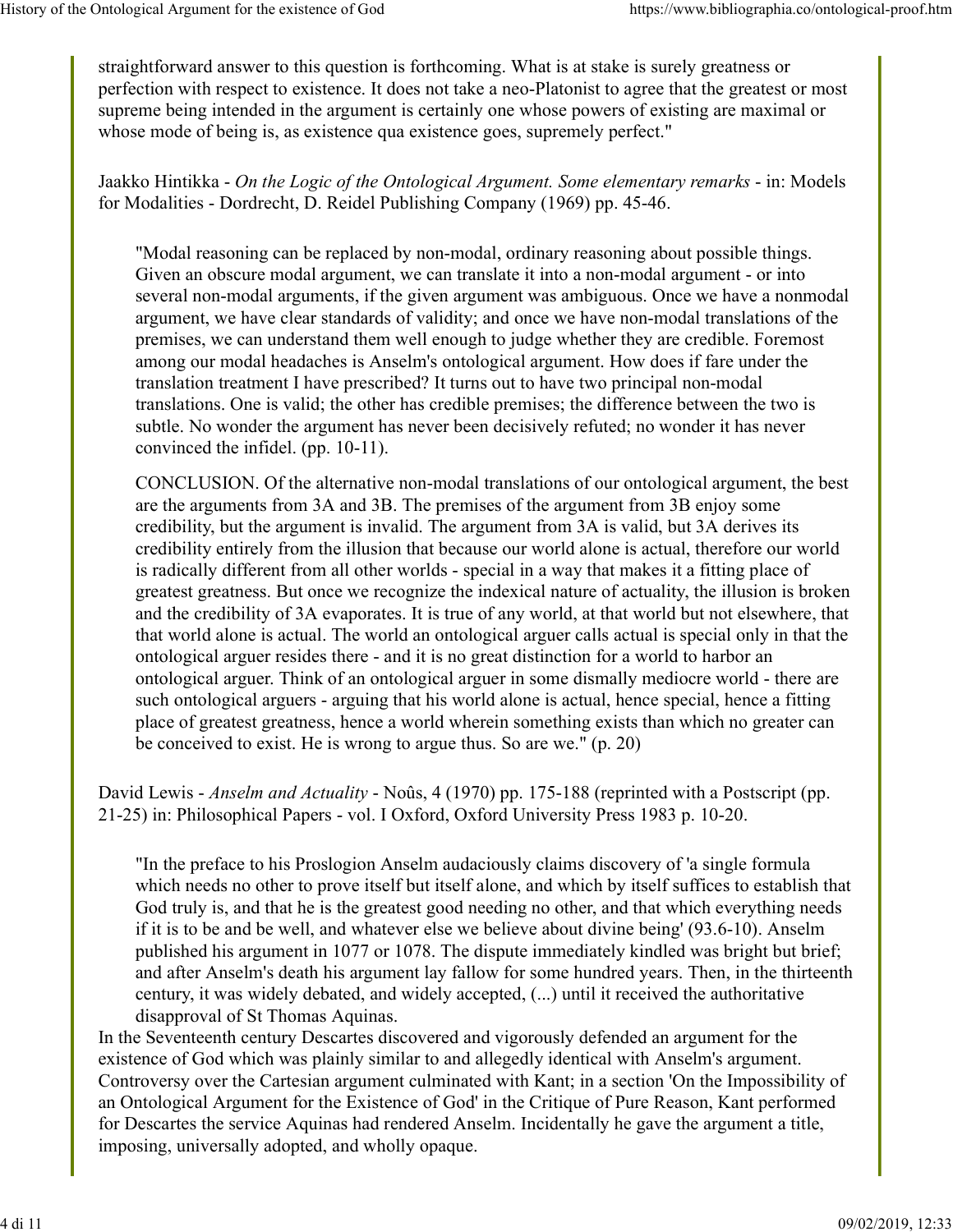straightforward answer to this question is forthcoming. What is at stake is surely greatness or perfection with respect to existence. It does not take a neo-Platonist to agree that the greatest or most supreme being intended in the argument is certainly one whose powers of existing are maximal or whose mode of being is, as existence qua existence goes, supremely perfect." History of the Ontological Argument for the existence of God<br>straightforward answer to this question is forthcoming. What is at stake is surely greatness or<br>perfection with respect to existence. It does not take a neo-Plat

Jaakko Hintikka - On the Logic of the Ontological Argument. Some elementary remarks - in: Models for Modalities - Dordrecht, D. Reidel Publishing Company (1969) pp. 45-46.

"Modal reasoning can be replaced by non-modal, ordinary reasoning about possible things. Given an obscure modal argument, we can translate it into a non-modal argument - or into several non-modal arguments, if the given argument was ambiguous. Once we have a nonmodal argument, we have clear standards of validity; and once we have non-modal translations of the premises, we can understand them well enough to judge whether they are credible. Foremost among our modal headaches is Anselm's ontological argument. How does if fare under the translation treatment I have prescribed? It turns out to have two principal non-modal translations. One is valid; the other has credible premises; the difference between the two is subtle. No wonder the argument has never been decisively refuted; no wonder it has never convinced the infidel. (pp. 10-11).

CONCLUSION. Of the alternative non-modal translations of our ontological argument, the best are the arguments from 3A and 3B. The premises of the argument from 3B enjoy some credibility, but the argument is invalid. The argument from 3A is valid, but 3A derives its credibility entirely from the illusion that because our world alone is actual, therefore our world is radically different from all other worlds - special in a way that makes it a fitting place of greatest greatness. But once we recognize the indexical nature of actuality, the illusion is broken and the credibility of 3A evaporates. It is true of any world, at that world but not elsewhere, that that world alone is actual. The world an ontological arguer calls actual is special only in that the ontological arguer resides there - and it is no great distinction for a world to harbor an ontological arguer. Think of an ontological arguer in some dismally mediocre world - there are such ontological arguers - arguing that his world alone is actual, hence special, hence a fitting place of greatest greatness, hence a world wherein something exists than which no greater can be conceived to exist. He is wrong to argue thus. So are we." (p. 20)

David Lewis - Anselm and Actuality - Noûs, 4 (1970) pp. 175-188 (reprinted with a Postscript (pp. 21-25) in: Philosophical Papers - vol. I Oxford, Oxford University Press 1983 p. 10-20.

"In the preface to his Proslogion Anselm audaciously claims discovery of 'a single formula which needs no other to prove itself but itself alone, and which by itself suffices to establish that God truly is, and that he is the greatest good needing no other, and that which everything needs if it is to be and be well, and whatever else we believe about divine being' (93.6-10). Anselm published his argument in 1077 or 1078. The dispute immediately kindled was bright but brief; and after Anselm's death his argument lay fallow for some hundred years. Then, in the thirteenth century, it was widely debated, and widely accepted, (...) until it received the authoritative disapproval of St Thomas Aquinas.

In the Seventeenth century Descartes discovered and vigorously defended an argument for the existence of God which was plainly similar to and allegedly identical with Anselm's argument. Controversy over the Cartesian argument culminated with Kant; in a section 'On the Impossibility of an Ontological Argument for the Existence of God' in the Critique of Pure Reason, Kant performed for Descartes the service Aquinas had rendered Anselm. Incidentally he gave the argument a title, imposing, universally adopted, and wholly opaque.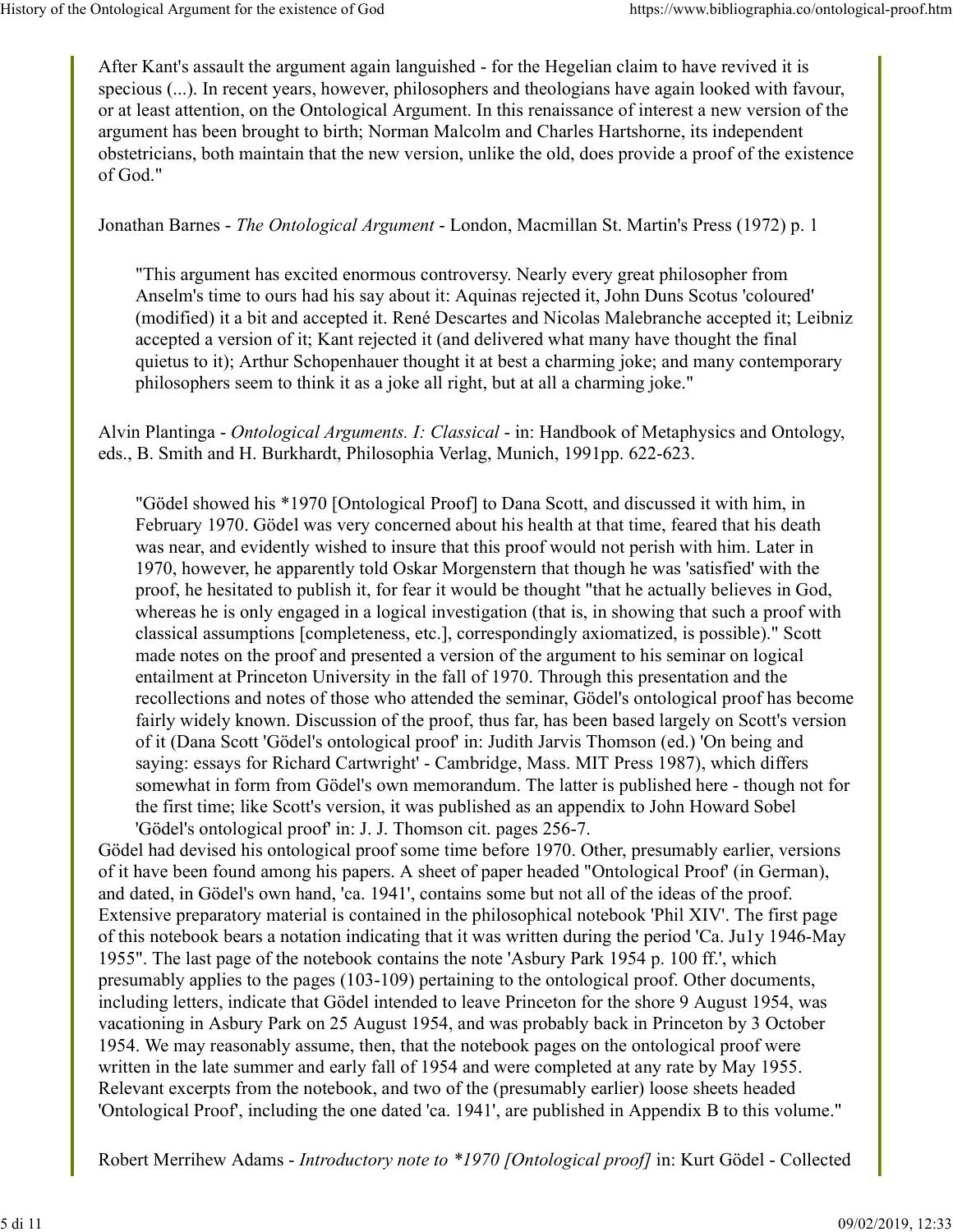After Kant's assault the argument again languished - for the Hegelian claim to have revived it is specious (...). In recent years, however, philosophers and theologians have again looked with favour, or at least attention, on the Ontological Argument. In this renaissance of interest a new version of the argument has been brought to birth; Norman Malcolm and Charles Hartshorne, its independent obstetricians, both maintain that the new version, unlike the old, does provide a proof of the existence of God." History of the Ontological Argument for the existence of God<br>
After Kant's assault the argument again languished - for the Hegelian claim to have revived it is<br>
specious (...). In recent years, however, philosophers and th

Jonathan Barnes - The Ontological Argument - London, Macmillan St. Martin's Press (1972) p. 1

"This argument has excited enormous controversy. Nearly every great philosopher from Anselm's time to ours had his say about it: Aquinas rejected it, John Duns Scotus 'coloured' (modified) it a bit and accepted it. René Descartes and Nicolas Malebranche accepted it; Leibniz accepted a version of it; Kant rejected it (and delivered what many have thought the final quietus to it); Arthur Schopenhauer thought it at best a charming joke; and many contemporary philosophers seem to think it as a joke all right, but at all a charming joke."

Alvin Plantinga - Ontological Arguments. I: Classical - in: Handbook of Metaphysics and Ontology, eds., B. Smith and H. Burkhardt, Philosophia Verlag, Munich, 1991pp. 622-623.

"Gödel showed his \*1970 [Ontological Proof] to Dana Scott, and discussed it with him, in February 1970. Gödel was very concerned about his health at that time, feared that his death was near, and evidently wished to insure that this proof would not perish with him. Later in 1970, however, he apparently told Oskar Morgenstern that though he was 'satisfied' with the proof, he hesitated to publish it, for fear it would be thought "that he actually believes in God, whereas he is only engaged in a logical investigation (that is, in showing that such a proof with classical assumptions [completeness, etc.], correspondingly axiomatized, is possible)." Scott made notes on the proof and presented a version of the argument to his seminar on logical entailment at Princeton University in the fall of 1970. Through this presentation and the recollections and notes of those who attended the seminar, Gödel's ontological proof has become fairly widely known. Discussion of the proof, thus far, has been based largely on Scott's version of it (Dana Scott 'Gödel's ontological proof' in: Judith Jarvis Thomson (ed.) 'On being and saying: essays for Richard Cartwright' - Cambridge, Mass. MIT Press 1987), which differs somewhat in form from Gödel's own memorandum. The latter is published here - though not for the first time; like Scott's version, it was published as an appendix to John Howard Sobel 'Gödel's ontological proof' in: J. J. Thomson cit. pages 256-7.

Gödel had devised his ontological proof some time before 1970. Other, presumably earlier, versions of it have been found among his papers. A sheet of paper headed "Ontological Proof' (in German), and dated, in Gödel's own hand, 'ca. 1941', contains some but not all of the ideas of the proof. Extensive preparatory material is contained in the philosophical notebook 'Phil XIV'. The first page of this notebook bears a notation indicating that it was written during the period 'Ca. Ju1y 1946-May 1955". The last page of the notebook contains the note 'Asbury Park 1954 p. 100 ff.', which presumably applies to the pages (103-109) pertaining to the ontological proof. Other documents, including letters, indicate that Gödel intended to leave Princeton for the shore 9 August 1954, was vacationing in Asbury Park on 25 August 1954, and was probably back in Princeton by 3 October 1954. We may reasonably assume, then, that the notebook pages on the ontological proof were written in the late summer and early fall of 1954 and were completed at any rate by May 1955. Relevant excerpts from the notebook, and two of the (presumably earlier) loose sheets headed 'Ontological Proof', including the one dated 'ca. 1941', are published in Appendix B to this volume."

Robert Merrihew Adams - Introductory note to \*1970 [Ontological proof] in: Kurt Gödel - Collected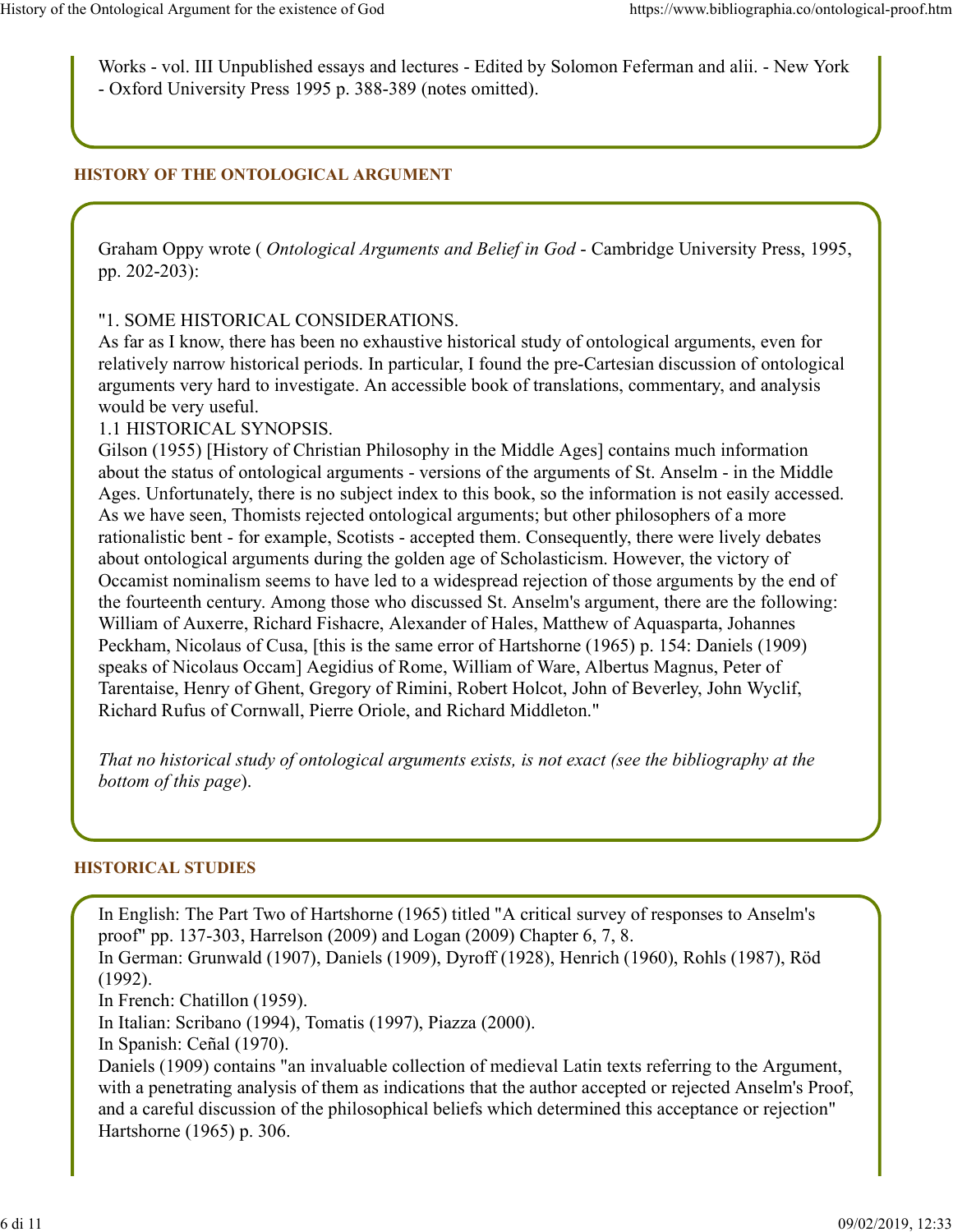Works - vol. III Unpublished essays and lectures - Edited by Solomon Feferman and alii. - New York - Oxford University Press 1995 p. 388-389 (notes omitted). History of the Ontological Argument for the existence of God https://www.bibliographia.co/ontological-proof.htm<br>Works - vol. III Unpublished essays and lectures - Edited by Solomon Feferman and alii. - New York<br>- Oxford Un

### HISTORY OF THE ONTOLOGICAL ARGUMENT

Graham Oppy wrote (*Ontological Arguments and Belief in God* - Cambridge University Press, 1995, pp. 202-203):

### "1. SOME HISTORICAL CONSIDERATIONS.

As far as I know, there has been no exhaustive historical study of ontological arguments, even for relatively narrow historical periods. In particular, I found the pre-Cartesian discussion of ontological arguments very hard to investigate. An accessible book of translations, commentary, and analysis would be very useful.

#### 1.1 HISTORICAL SYNOPSIS.

Gilson (1955) [History of Christian Philosophy in the Middle Ages] contains much information about the status of ontological arguments - versions of the arguments of St. Anselm - in the Middle Ages. Unfortunately, there is no subject index to this book, so the information is not easily accessed. As we have seen, Thomists rejected ontological arguments; but other philosophers of a more rationalistic bent - for example, Scotists - accepted them. Consequently, there were lively debates about ontological arguments during the golden age of Scholasticism. However, the victory of Occamist nominalism seems to have led to a widespread rejection of those arguments by the end of the fourteenth century. Among those who discussed St. Anselm's argument, there are the following: William of Auxerre, Richard Fishacre, Alexander of Hales, Matthew of Aquasparta, Johannes Peckham, Nicolaus of Cusa, [this is the same error of Hartshorne (1965) p. 154: Daniels (1909) speaks of Nicolaus Occam] Aegidius of Rome, William of Ware, Albertus Magnus, Peter of Tarentaise, Henry of Ghent, Gregory of Rimini, Robert Holcot, John of Beverley, John Wyclif, Richard Rufus of Cornwall, Pierre Oriole, and Richard Middleton."

That no historical study of ontological arguments exists, is not exact (see the bibliography at the bottom of this page).

#### HISTORICAL STUDIES

In English: The Part Two of Hartshorne (1965) titled "A critical survey of responses to Anselm's proof" pp. 137-303, Harrelson (2009) and Logan (2009) Chapter 6, 7, 8. In German: Grunwald (1907), Daniels (1909), Dyroff (1928), Henrich (1960), Rohls (1987), Röd (1992). In French: Chatillon (1959). In Italian: Scribano (1994), Tomatis (1997), Piazza (2000). In Spanish: Ceñal (1970). Daniels (1909) contains "an invaluable collection of medieval Latin texts referring to the Argument, with a penetrating analysis of them as indications that the author accepted or rejected Anselm's Proof, and a careful discussion of the philosophical beliefs which determined this acceptance or rejection" Hartshorne (1965) p. 306.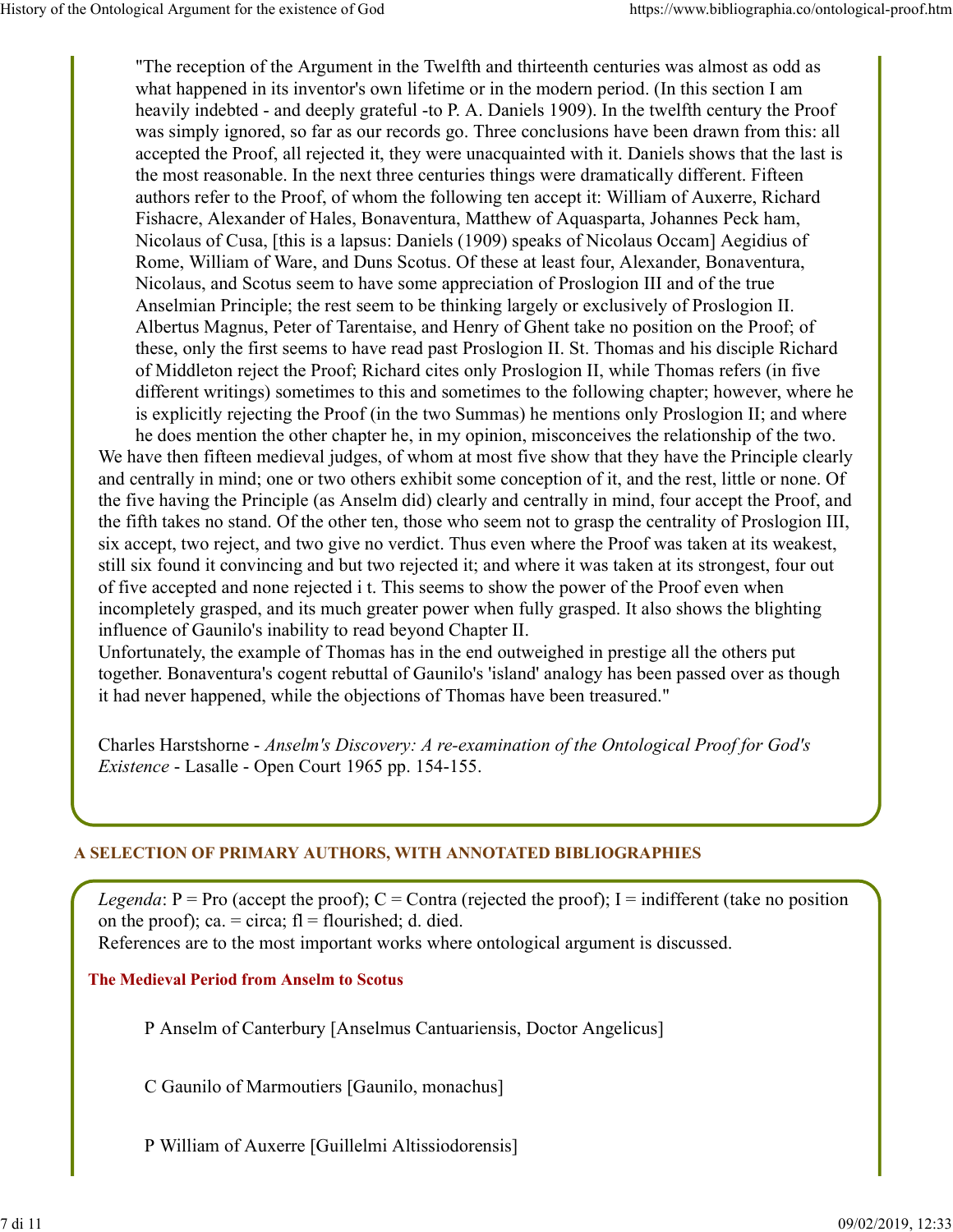"The reception of the Argument in the Twelfth and thirteenth centuries was almost as odd as what happened in its inventor's own lifetime or in the modern period. (In this section I am heavily indebted - and deeply grateful -to P. A. Daniels 1909). In the twelfth century the Proof was simply ignored, so far as our records go. Three conclusions have been drawn from this: all accepted the Proof, all rejected it, they were unacquainted with it. Daniels shows that the last is the most reasonable. In the next three centuries things were dramatically different. Fifteen authors refer to the Proof, of whom the following ten accept it: William of Auxerre, Richard Fishacre, Alexander of Hales, Bonaventura, Matthew of Aquasparta, Johannes Peck ham, Nicolaus of Cusa, [this is a lapsus: Daniels (1909) speaks of Nicolaus Occam] Aegidius of Rome, William of Ware, and Duns Scotus. Of these at least four, Alexander, Bonaventura, Nicolaus, and Scotus seem to have some appreciation of Proslogion III and of the true Anselmian Principle; the rest seem to be thinking largely or exclusively of Proslogion II. Albertus Magnus, Peter of Tarentaise, and Henry of Ghent take no position on the Proof; of these, only the first seems to have read past Proslogion II. St. Thomas and his disciple Richard of Middleton reject the Proof; Richard cites only Proslogion II, while Thomas refers (in five different writings) sometimes to this and sometimes to the following chapter; however, where he is explicitly rejecting the Proof (in the two Summas) he mentions only Proslogion II; and where History of the Ontological Argument for the existence of God<br>
The reception of the Argument in the Twelfth and thirteenth centuries was almost as odd as<br>
what happened in its inventor's own lifetime or in the modern period

he does mention the other chapter he, in my opinion, misconceives the relationship of the two. We have then fifteen medieval judges, of whom at most five show that they have the Principle clearly and centrally in mind; one or two others exhibit some conception of it, and the rest, little or none. Of the five having the Principle (as Anselm did) clearly and centrally in mind, four accept the Proof, and the fifth takes no stand. Of the other ten, those who seem not to grasp the centrality of Proslogion III, six accept, two reject, and two give no verdict. Thus even where the Proof was taken at its weakest, still six found it convincing and but two rejected it; and where it was taken at its strongest, four out of five accepted and none rejected i t. This seems to show the power of the Proof even when incompletely grasped, and its much greater power when fully grasped. It also shows the blighting influence of Gaunilo's inability to read beyond Chapter II.

Unfortunately, the example of Thomas has in the end outweighed in prestige all the others put together. Bonaventura's cogent rebuttal of Gaunilo's 'island' analogy has been passed over as though it had never happened, while the objections of Thomas have been treasured."

Charles Harstshorne - Anselm's Discovery: A re-examination of the Ontological Proof for God's Existence - Lasalle - Open Court 1965 pp. 154-155.

### A SELECTION OF PRIMARY AUTHORS, WITH ANNOTATED BIBLIOGRAPHIES

Legenda:  $P = Pro$  (accept the proof);  $C = Contra$  (rejected the proof); I = indifferent (take no position on the proof); ca. = circa;  $fl = flourished$ ; d. died. References are to the most important works where ontological argument is discussed.

#### The Medieval Period from Anselm to Scotus

P Anselm of Canterbury [Anselmus Cantuariensis, Doctor Angelicus]

C Gaunilo of Marmoutiers [Gaunilo, monachus]

P William of Auxerre [Guillelmi Altissiodorensis]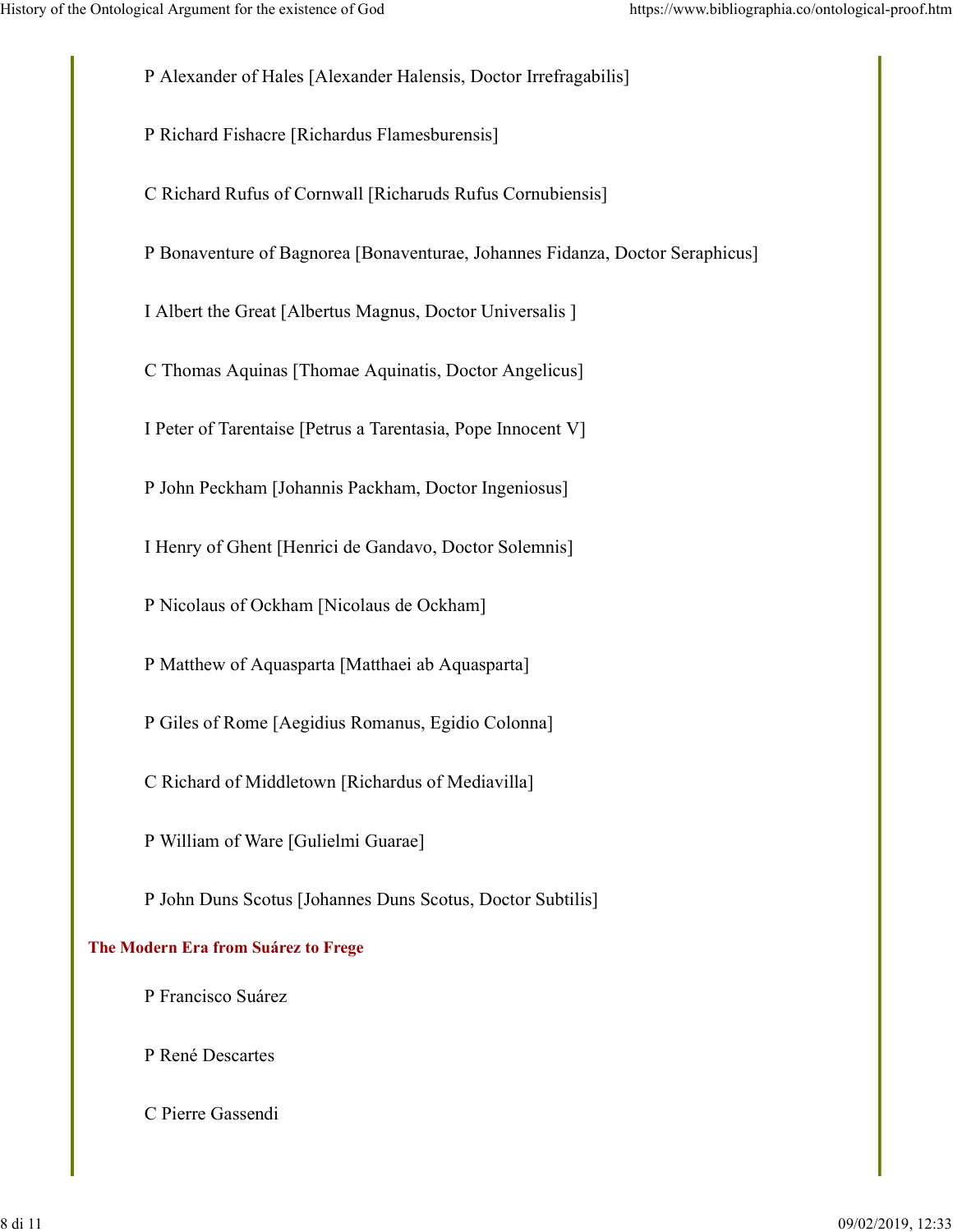P Alexander of Hales [Alexander Halensis, Doctor Irrefragabilis] P Richard Fishacre [Richardus Flamesburensis] C Richard Rufus of Cornwall [Richaruds Rufus Cornubiensis] P Bonaventure of Bagnorea [Bonaventurae, Johannes Fidanza, Doctor Seraphicus] I Albert the Great [Albertus Magnus, Doctor Universalis ] C Thomas Aquinas [Thomae Aquinatis, Doctor Angelicus] I Peter of Tarentaise [Petrus a Tarentasia, Pope Innocent V] P John Peckham [Johannis Packham, Doctor Ingeniosus] I Henry of Ghent [Henrici de Gandavo, Doctor Solemnis] P Nicolaus of Ockham [Nicolaus de Ockham] P Matthew of Aquasparta [Matthaei ab Aquasparta] P Giles of Rome [Aegidius Romanus, Egidio Colonna] C Richard of Middletown [Richardus of Mediavilla] P William of Ware [Gulielmi Guarae] P John Duns Scotus [Johannes Duns Scotus, Doctor Subtilis] The Modern Era from Suárez to Frege P Francisco Suárez P René Descartes History of the Ontological Argument for the existence of God https://www.bibliographia.co/ontological-proof.htm<br>
P Alexander of Hales [Alexander Halensis, Doctor Irrefragabilis]

C Pierre Gassendi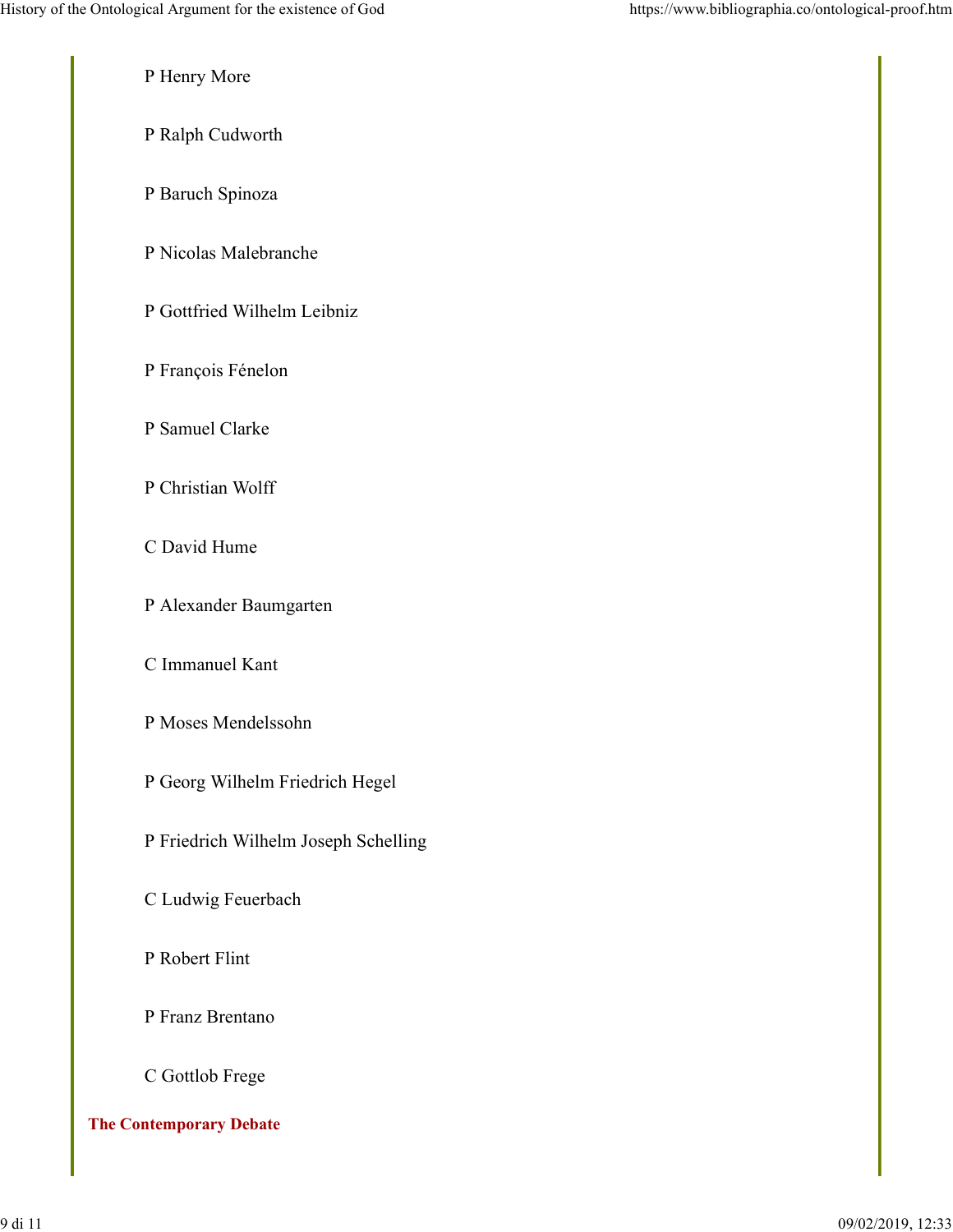P Henry More

P Ralph Cudworth

P Baruch Spinoza

P Nicolas Malebranche

P Gottfried Wilhelm Leibniz

P François Fénelon

P Samuel Clarke

P Christian Wolff

C David Hume

P Alexander Baumgarten

C Immanuel Kant

P Moses Mendelssohn

P Georg Wilhelm Friedrich Hegel

P Friedrich Wilhelm Joseph Schelling

C Ludwig Feuerbach

P Robert Flint

P Franz Brentano

C Gottlob Frege

The Contemporary Debate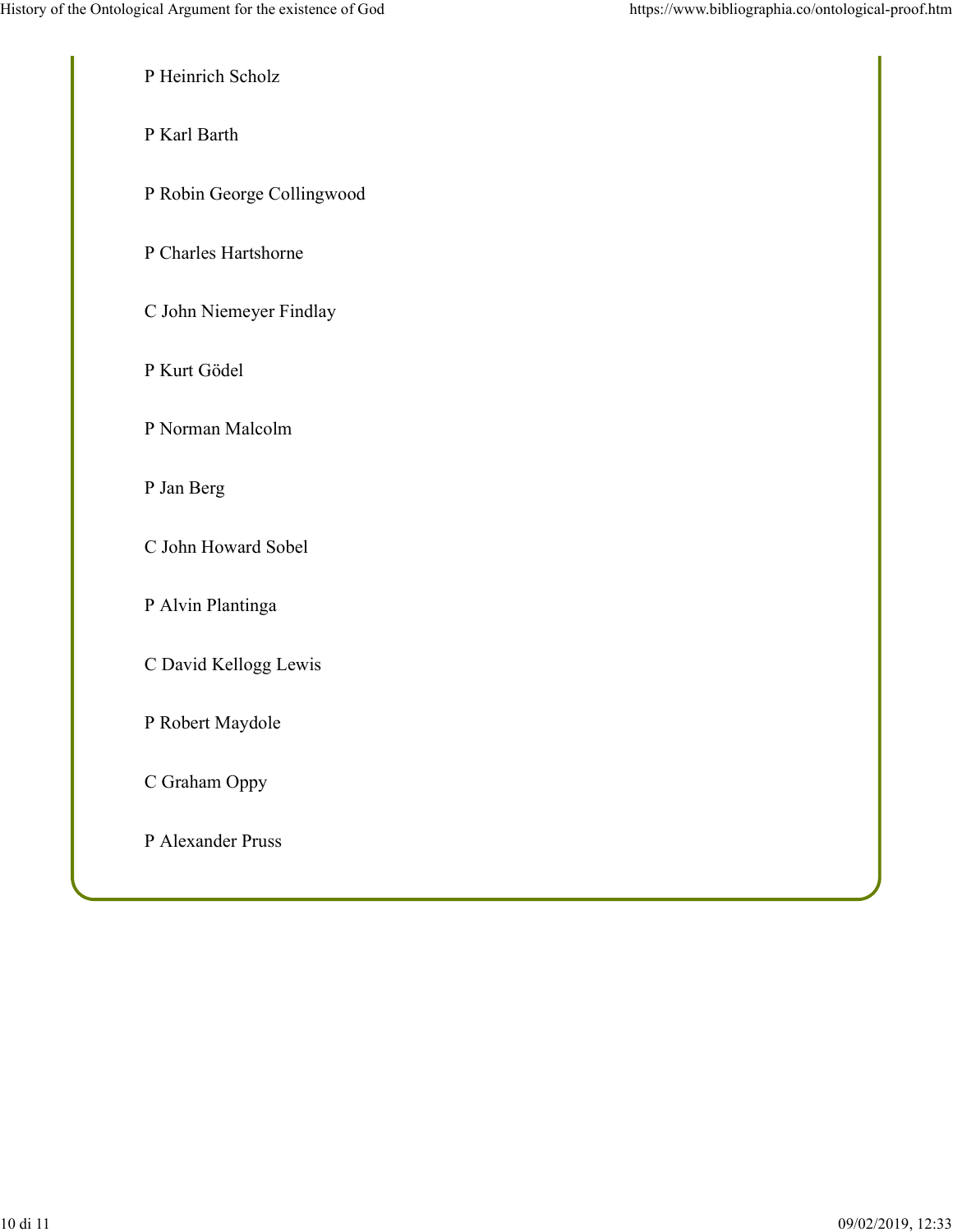P Heinrich Scholz

P Karl Barth

P Robin George Collingwood

P Charles Hartshorne

C John Niemeyer Findlay

P Kurt Gödel

P Norman Malcolm

P Jan Berg

C John Howard Sobel

P Alvin Plantinga

C David Kellogg Lewis

P Robert Maydole

C Graham Oppy

P Alexander Pruss